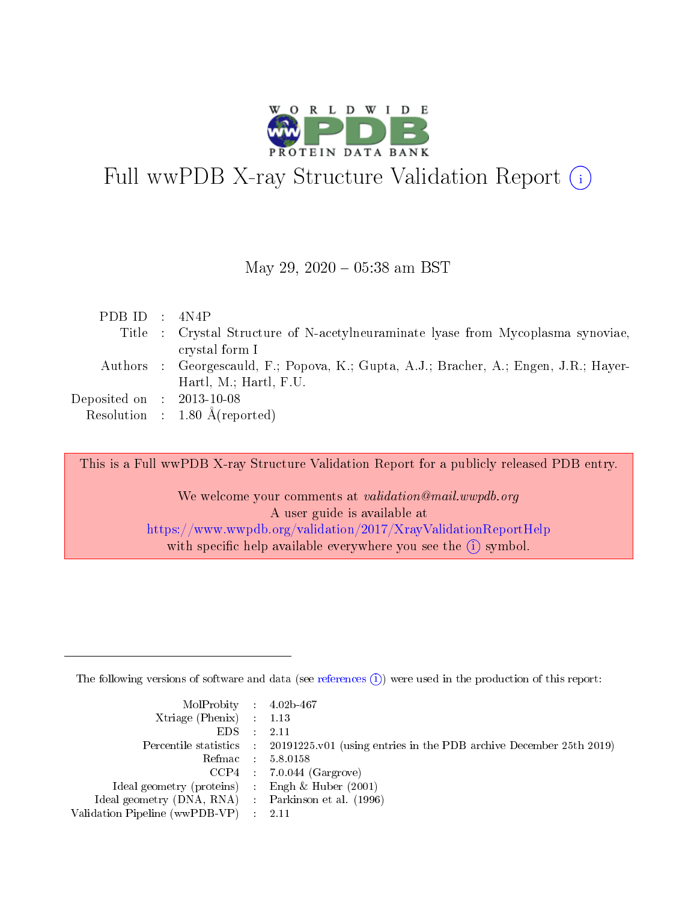

# Full wwPDB X-ray Structure Validation Report  $(i)$

#### May 29,  $2020 - 05:38$  am BST

| PDB ID : $4N4P$                      |                                                                                       |
|--------------------------------------|---------------------------------------------------------------------------------------|
|                                      | Title : Crystal Structure of N-acetylneuraminate lyase from Mycoplasma synoviae,      |
|                                      | crystal form I                                                                        |
|                                      | Authors : Georgescauld, F.; Popova, K.; Gupta, A.J.; Bracher, A.; Engen, J.R.; Hayer- |
|                                      | Hartl, $M$ .; Hartl, $F.U.$                                                           |
| Deposited on $\therefore$ 2013-10-08 |                                                                                       |
|                                      | Resolution : $1.80 \text{ Å}$ (reported)                                              |

This is a Full wwPDB X-ray Structure Validation Report for a publicly released PDB entry.

We welcome your comments at validation@mail.wwpdb.org A user guide is available at <https://www.wwpdb.org/validation/2017/XrayValidationReportHelp> with specific help available everywhere you see the  $(i)$  symbol.

The following versions of software and data (see [references](https://www.wwpdb.org/validation/2017/XrayValidationReportHelp#references)  $(i)$ ) were used in the production of this report:

| $MolProbability$ 4.02b-467<br>Xtriage (Phenix) $: 1.13$ |                                                                                                     |
|---------------------------------------------------------|-----------------------------------------------------------------------------------------------------|
| $EDS$ :                                                 | -2.11<br>Percentile statistics : 20191225.v01 (using entries in the PDB archive December 25th 2019) |
|                                                         | Refmac : 5.8.0158                                                                                   |
|                                                         | $CCP4$ : 7.0.044 (Gargrove)                                                                         |
| Ideal geometry (proteins) : Engh $\&$ Huber (2001)      |                                                                                                     |
| Ideal geometry (DNA, RNA) : Parkinson et al. (1996)     |                                                                                                     |
| Validation Pipeline (wwPDB-VP) :                        | -2.11                                                                                               |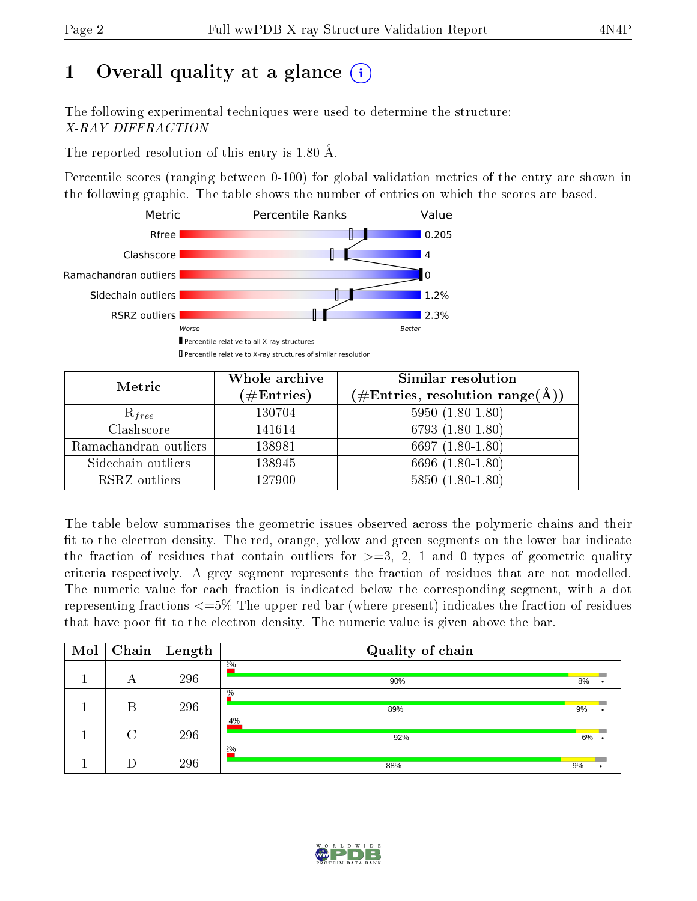# 1 [O](https://www.wwpdb.org/validation/2017/XrayValidationReportHelp#overall_quality)verall quality at a glance  $(i)$

The following experimental techniques were used to determine the structure: X-RAY DIFFRACTION

The reported resolution of this entry is 1.80 Å.

Percentile scores (ranging between 0-100) for global validation metrics of the entry are shown in the following graphic. The table shows the number of entries on which the scores are based.



| Metric                | Whole archive<br>$(\#\text{Entries})$ | Similar resolution<br>$(\#\text{Entries}, \, \text{resolution range}(\textup{\AA}))$ |  |  |
|-----------------------|---------------------------------------|--------------------------------------------------------------------------------------|--|--|
| $R_{free}$            | 130704                                | $5950(1.80-1.80)$                                                                    |  |  |
| Clashscore            | 141614                                | $6793(1.80-1.80)$                                                                    |  |  |
| Ramachandran outliers | 138981                                | 6697 $(1.80-1.80)$                                                                   |  |  |
| Sidechain outliers    | 138945                                | 6696 (1.80-1.80)                                                                     |  |  |
| RSRZ outliers         | 127900                                | $5850(1.80-1.80)$                                                                    |  |  |

The table below summarises the geometric issues observed across the polymeric chains and their fit to the electron density. The red, orange, yellow and green segments on the lower bar indicate the fraction of residues that contain outliers for  $>=3, 2, 1$  and 0 types of geometric quality criteria respectively. A grey segment represents the fraction of residues that are not modelled. The numeric value for each fraction is indicated below the corresponding segment, with a dot representing fractions  $\epsilon=5\%$  The upper red bar (where present) indicates the fraction of residues that have poor fit to the electron density. The numeric value is given above the bar.

| Mol | Chain  | $\vert$ Length | Quality of chain |    |  |
|-----|--------|----------------|------------------|----|--|
|     | А      | 296            | 20/0<br>90%      | 8% |  |
|     | В      | 296            | $\%$<br>89%      | 9% |  |
|     | $\cap$ | 296            | 4%<br>92%        | 6% |  |
|     |        | 296            | 2%<br>88%        | 9% |  |

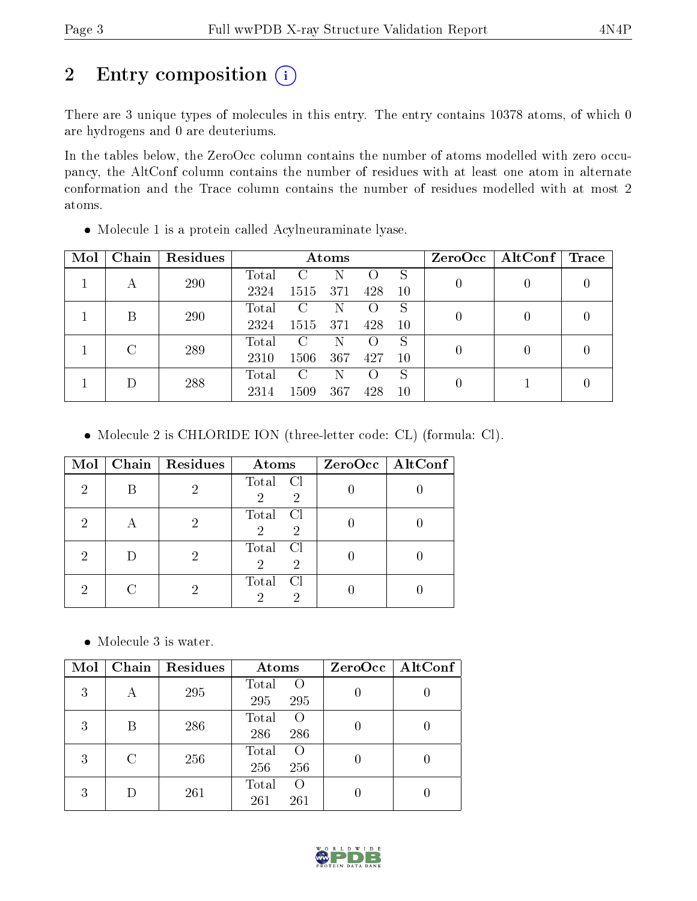# 2 Entry composition (i)

There are 3 unique types of molecules in this entry. The entry contains 10378 atoms, of which 0 are hydrogens and 0 are deuteriums.

In the tables below, the ZeroOcc column contains the number of atoms modelled with zero occupancy, the AltConf column contains the number of residues with at least one atom in alternate conformation and the Trace column contains the number of residues modelled with at most 2 atoms.

Molecule 1 is a protein called Acylneuraminate lyase.

| Mol | Chain | Residues | Atoms |               |                    |                    |    |   | $ZeroOcc \   \$ AltConf $ $ | $\operatorname{Trace}$ |
|-----|-------|----------|-------|---------------|--------------------|--------------------|----|---|-----------------------------|------------------------|
|     |       | 290      | Total | C             | N                  |                    | S  |   |                             |                        |
|     | А     |          | 2324  | 1515          | 371                | 428                | 10 | U |                             |                        |
|     | B     | 290      | Total | $\mathcal{C}$ | N                  | $\left( \right)$   | S  |   |                             |                        |
|     |       |          | 2324  | 1515          | 371                | 428                | 10 |   |                             |                        |
|     |       |          | Total | C             | N                  | $\left( \ \right)$ | S  |   |                             |                        |
|     | 289   | 2310     | 1506  | 367           | 427                | 10                 |    |   |                             |                        |
|     | 288   | Total    | C     | N             | $\left( \ \right)$ | S                  |    |   |                             |                        |
|     |       | 2314     | 1509  | 367           | 428                | 10                 |    |   |                             |                        |

Molecule 2 is CHLORIDE ION (three-letter code: CL) (formula: Cl).

| Mol | Chain   $Residues$ | Atoms                                        | ZeroOcc   AltConf |
|-----|--------------------|----------------------------------------------|-------------------|
| 2   |                    | Total Cl<br>$\overline{2}$<br>$\overline{2}$ |                   |
| 2   |                    | Total Cl<br>$\overline{2}$<br>$\overline{2}$ |                   |
| 2   |                    | Total Cl<br>$\overline{2}$<br>2              |                   |
| 2   |                    | Total<br>CI<br>റ                             |                   |

Molecule 3 is water.

| Mol | Chain | Residues | Atoms                                   | ZeroOcc   AltConf |
|-----|-------|----------|-----------------------------------------|-------------------|
| 3   | А     | 295      | Total<br>$\rm{O}$<br>295<br>295         |                   |
| 3   | В     | 286      | Total<br>$\left( \right)$<br>286<br>286 |                   |
| 3   | C     | 256      | Total<br>$\left( \right)$<br>256<br>256 |                   |
| 3   |       | 261      | Total<br>$\left( \right)$<br>261<br>261 |                   |

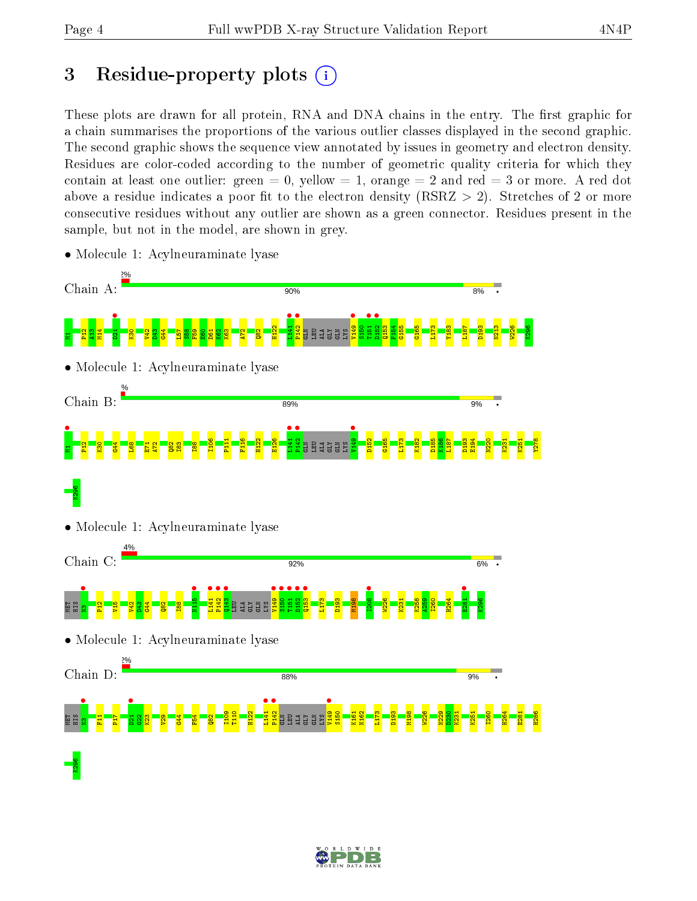# 3 Residue-property plots  $(i)$

These plots are drawn for all protein, RNA and DNA chains in the entry. The first graphic for a chain summarises the proportions of the various outlier classes displayed in the second graphic. The second graphic shows the sequence view annotated by issues in geometry and electron density. Residues are color-coded according to the number of geometric quality criteria for which they contain at least one outlier: green  $= 0$ , yellow  $= 1$ , orange  $= 2$  and red  $= 3$  or more. A red dot above a residue indicates a poor fit to the electron density (RSRZ  $> 2$ ). Stretches of 2 or more consecutive residues without any outlier are shown as a green connector. Residues present in the sample, but not in the model, are shown in grey.



• Molecule 1: Acylneuraminate lyase

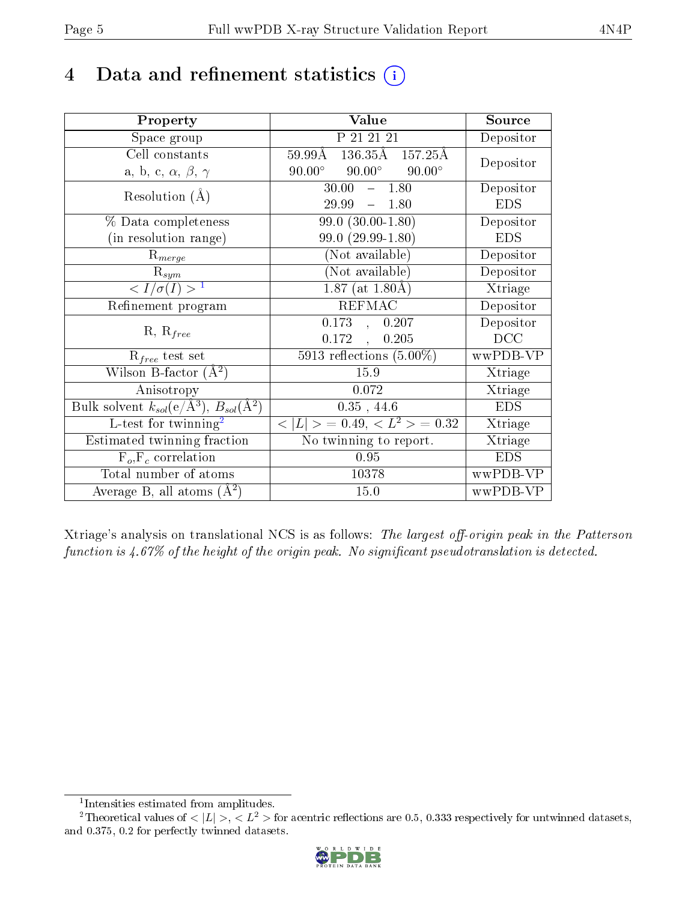# 4 Data and refinement statistics  $(i)$

| Property                                                         | Value                                                 | Source     |
|------------------------------------------------------------------|-------------------------------------------------------|------------|
| Space group                                                      | P 21 21 21                                            | Depositor  |
| Cell constants                                                   | $136.\overline{35A}$ $157.25\AA$<br>$59.99\text{\AA}$ | Depositor  |
| a, b, c, $\alpha$ , $\beta$ , $\gamma$                           | $90.00^\circ$<br>$90.00^{\circ}$ $90.00^{\circ}$      |            |
| Resolution $(A)$                                                 | 30.00<br>$-1.80$                                      | Depositor  |
|                                                                  | 29.99<br>$-1.80$                                      | <b>EDS</b> |
| % Data completeness                                              | $\overline{99.0}$ $(30.00-1.80)$                      | Depositor  |
| (in resolution range)                                            | $99.0(29.99-1.80)$                                    | <b>EDS</b> |
| $R_{merge}$                                                      | (Not available)                                       | Depositor  |
| $\mathrm{R}_{sym}$                                               | (Not available)                                       | Depositor  |
| $\langle I/\sigma(I) \rangle^{-1}$                               | $1.87$ (at 1.80Å)                                     | Xtriage    |
| Refinement program                                               | <b>REFMAC</b>                                         | Depositor  |
| $R, R_{free}$                                                    | 0.173,<br>0.207                                       | Depositor  |
|                                                                  | 0.172,<br>0.205                                       | DCC        |
| $R_{free}$ test set                                              | $5913$ reflections $(5.00\%)$                         | wwPDB-VP   |
| Wilson B-factor $(A^2)$                                          | 15.9                                                  | Xtriage    |
| Anisotropy                                                       | 0.072                                                 | Xtriage    |
| Bulk solvent $k_{sol}(\text{e}/\text{A}^3), B_{sol}(\text{A}^2)$ | $0.35$ , $44.6\,$                                     | <b>EDS</b> |
| L-test for twinning <sup>2</sup>                                 | $< L >$ = 0.49, $< L^2 >$ = 0.32                      | Xtriage    |
| Estimated twinning fraction                                      | No twinning to report.                                | Xtriage    |
| $F_o, F_c$ correlation                                           | 0.95                                                  | <b>EDS</b> |
| Total number of atoms                                            | 10378                                                 | wwPDB-VP   |
| Average B, all atoms $(A^2)$                                     | 15.0                                                  | wwPDB-VP   |

Xtriage's analysis on translational NCS is as follows: The largest off-origin peak in the Patterson function is  $4.67\%$  of the height of the origin peak. No significant pseudotranslation is detected.

<sup>&</sup>lt;sup>2</sup>Theoretical values of  $\langle |L| \rangle$ ,  $\langle L^2 \rangle$  for acentric reflections are 0.5, 0.333 respectively for untwinned datasets, and 0.375, 0.2 for perfectly twinned datasets.



<span id="page-4-1"></span><span id="page-4-0"></span><sup>1</sup> Intensities estimated from amplitudes.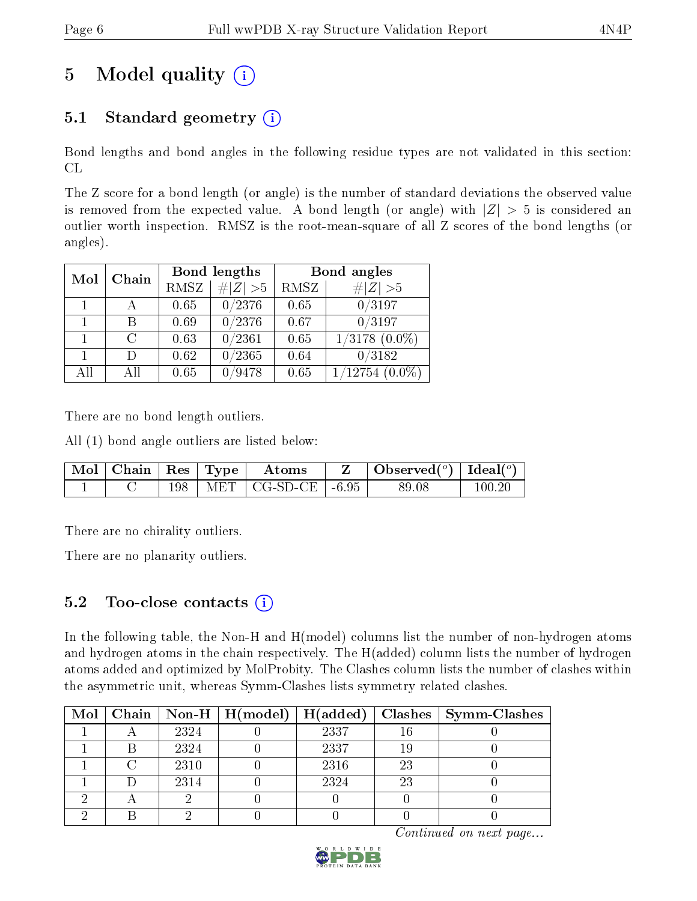# 5 Model quality  $(i)$

## 5.1 Standard geometry  $(i)$

Bond lengths and bond angles in the following residue types are not validated in this section: CL

The Z score for a bond length (or angle) is the number of standard deviations the observed value is removed from the expected value. A bond length (or angle) with  $|Z| > 5$  is considered an outlier worth inspection. RMSZ is the root-mean-square of all Z scores of the bond lengths (or angles).

| Mol | Chain  |             | Bond lengths | Bond angles |                     |  |
|-----|--------|-------------|--------------|-------------|---------------------|--|
|     |        | <b>RMSZ</b> | $\# Z  > 5$  | RMSZ        | # $ Z >5$           |  |
|     |        | 0.65        | 0/2376       | 0.65        | 0/3197              |  |
|     | В      | 0.69        | 0/2376       | 0.67        | 0/3197              |  |
|     | $\cap$ | 0.63        | 0/2361       | 0.65        | $1/3178(0.0\%)$     |  |
|     | $\Box$ | 0.62        | 0/2365       | 0.64        | 0/3182              |  |
| All | All    | 0.65        | 0/9478       | 0.65        | $1/12754$ $(0.0\%)$ |  |

There are no bond length outliers.

All (1) bond angle outliers are listed below:

|  |  | $\vert$ Mol $\vert$ Chain $\vert$ Res $\vert$ Type $\vert$ Atoms | Observed $(^\circ)$   Ideal $(^\circ)$ |        |
|--|--|------------------------------------------------------------------|----------------------------------------|--------|
|  |  | 198   MET   CG-SD-CE   $-6.95$                                   | 89.08                                  | 100-20 |

There are no chirality outliers.

There are no planarity outliers.

## 5.2 Too-close contacts  $(i)$

In the following table, the Non-H and H(model) columns list the number of non-hydrogen atoms and hydrogen atoms in the chain respectively. The H(added) column lists the number of hydrogen atoms added and optimized by MolProbity. The Clashes column lists the number of clashes within the asymmetric unit, whereas Symm-Clashes lists symmetry related clashes.

|  |      | Mol   Chain   Non-H   H(model)   H(added) |      |    | $\mid$ Clashes $\mid$ Symm-Clashes |
|--|------|-------------------------------------------|------|----|------------------------------------|
|  | 2324 |                                           | 2337 |    |                                    |
|  | 2324 |                                           | 2337 |    |                                    |
|  | 2310 |                                           | 2316 | 23 |                                    |
|  | 2314 |                                           | 2324 | 23 |                                    |
|  |      |                                           |      |    |                                    |
|  |      |                                           |      |    |                                    |

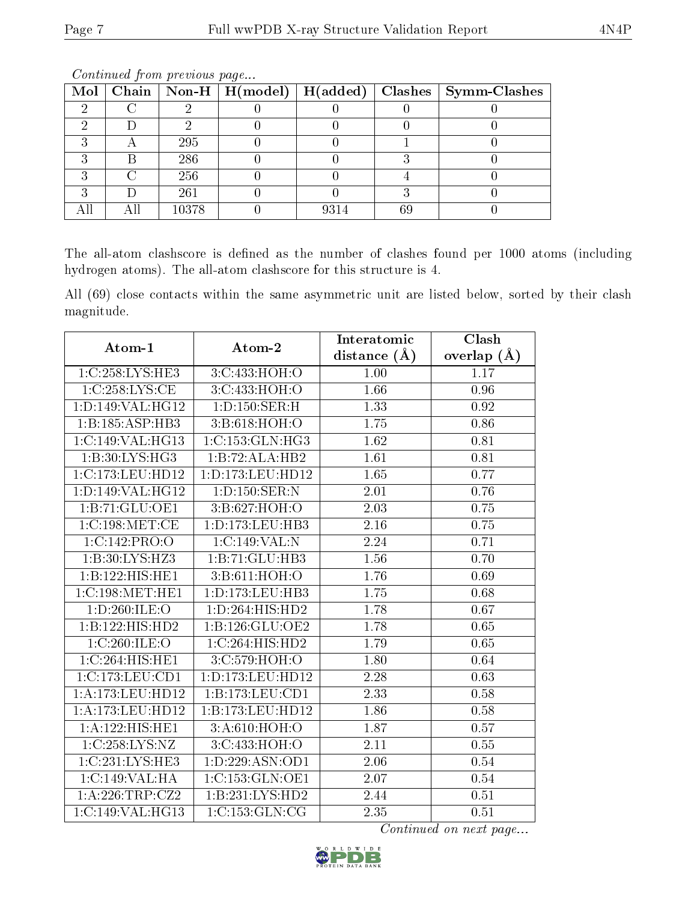|  |       |  |    | Mol   Chain   Non-H   H(model)   H(added)   Clashes   Symm-Clashes |
|--|-------|--|----|--------------------------------------------------------------------|
|  |       |  |    |                                                                    |
|  |       |  |    |                                                                    |
|  | 295   |  |    |                                                                    |
|  | 286   |  |    |                                                                    |
|  | 256   |  |    |                                                                    |
|  | 261   |  |    |                                                                    |
|  | 10378 |  | 69 |                                                                    |

Continued from previous page...

The all-atom clashscore is defined as the number of clashes found per 1000 atoms (including hydrogen atoms). The all-atom clashscore for this structure is 4.

All (69) close contacts within the same asymmetric unit are listed below, sorted by their clash magnitude.

| Atom-1                       | Atom-2               | Interatomic       | Clash             |  |
|------------------------------|----------------------|-------------------|-------------------|--|
|                              |                      | distance $(\AA)$  | overlap $(A)$     |  |
| 1:C:258:LYS:HE3              | 3:C:433:HOH:O        | 1.00              | 1.17              |  |
| 1:C:258:LYS:CE               | 3:C:433:HOH:O        | 1.66              | 0.96              |  |
| 1:D:149:VAL:HG12             | 1:D:150:SER:H        | 1.33              | 0.92              |  |
| 1:B:185:ASP:HB3              | 3: B:618: HOH:O      | 1.75              | 0.86              |  |
| 1:C:149:VAL:HG13             | 1:C:153:GLN:HG3      | 1.62              | 0.81              |  |
| 1:B:30:LYS:HG3               | 1:B:72:ALA:HB2       | 1.61              | 0.81              |  |
| 1:C:173:LEU:HD12             | 1: D: 173: LEU: HD12 | 1.65              | 0.77              |  |
| 1:D:149:VAL:HG12             | 1: D: 150: SER: N    | 2.01              | 0.76              |  |
| 1:B:71:GLU:OE1               | 3:B:627:HOH:O        | 2.03              | 0.75              |  |
| 1:C:198:MET:CE               | 1:D:173:LEU:HB3      | 2.16              | 0.75              |  |
| 1:C:142:PRO:O                | 1:C:149:VAL:N        | 2.24              | 0.71              |  |
| 1:B:30:LYS:HZ3               | 1:B:71:GLU:HB3       | 1.56              | 0.70              |  |
| $1:B:122:HIS:\overline{HE1}$ | 3:B:611:HOH:O        | 1.76              | 0.69              |  |
| 1:C:198:MET:HE1              | 1: D: 173: LEU: HB3  | 1.75              | 0.68              |  |
| 1:D:260:ILE:O                | 1:D:264:HIS:HD2      | 1.78              | 0.67              |  |
| 1:B:122:HIS:HD2              | 1:B:126:GLU:OE2      | 1.78              | 0.65              |  |
| 1:C:260:ILE:O                | 1:C:264:HIS:HD2      | 1.79              | $\overline{0.65}$ |  |
| 1:C:264:HIS:HE1              | 3:C:579:HOH:O        | 1.80              | 0.64              |  |
| 1:C:173:LEU:CD1              | 1: D: 173: LEU: HD12 | 2.28              | 0.63              |  |
| 1: A:173: LEU: HD12          | 1:B:173:LEU:CD1      | 2.33              | 0.58              |  |
| 1:A:173:LEU:HD12             | 1:B:173:LEU:HDI2     | 1.86              | 0.58              |  |
| 1:A:122:HIS:HE1              | 3:A:610:HOH:O        | 1.87              | 0.57              |  |
| 1:C:258:LYS:NZ               | 3:C:433:HOH:O        | 2.11              | 0.55              |  |
| 1:C:231:LYS:HE3              | 1: D: 229: ASN: OD1  | 2.06              | 0.54              |  |
| 1:C:149:VAL:HA               | 1:C:153:GLN:OE1      | 2.07              | $\overline{0.54}$ |  |
| 1:A:226:TRP:CZ2              | 1:B:231:LYS:HD2      | 2.44              | 0.51              |  |
| 1:C:149:VAL:HG13             | 1:C:153:GLN:CG       | $2.3\overline{5}$ | 0.51              |  |

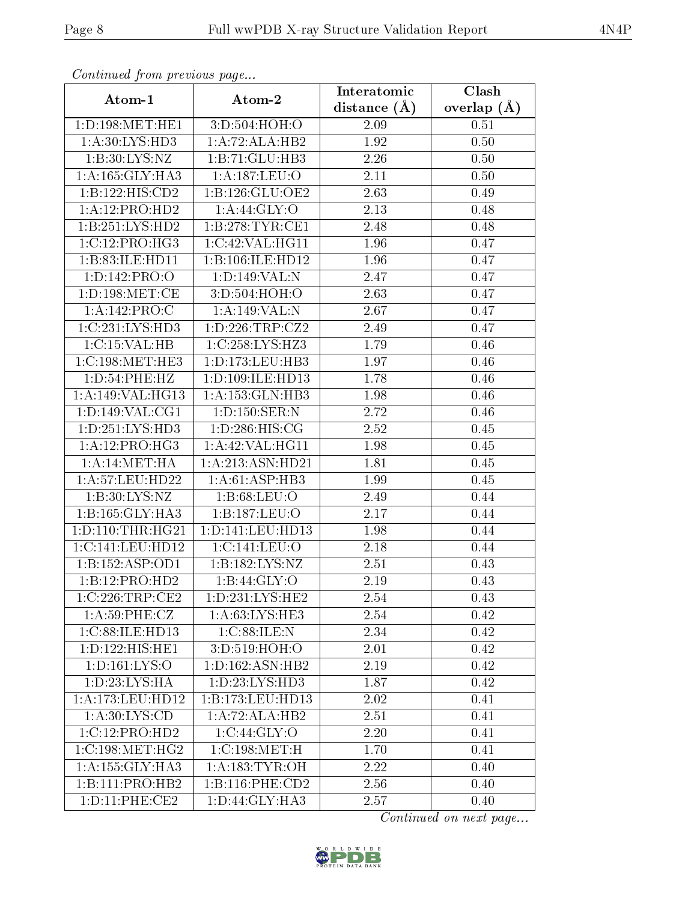| Continuea from pretious page               |                      | Interatomic    | Clash         |
|--------------------------------------------|----------------------|----------------|---------------|
| Atom-1                                     | Atom-2               | distance $(A)$ | overlap $(A)$ |
| 1: D: 198: MET: HE1                        | 3:D:504:HOH:O        | 2.09           | 0.51          |
| 1: A:30: LYS: HD3                          | 1:A:72:ALA:HB2       | 1.92           | 0.50          |
| 1: B:30: LYS: NZ                           | 1:B:71:GLU:HB3       | 2.26           | 0.50          |
| 1: A: 165: GLY: HA3                        | 1:A:187:LEU:O        | 2.11           | 0.50          |
| 1:B:122:HIS:CD2                            | 1: B: 126: GLU: OE2  | 2.63           | 0.49          |
| 1:A:12:PRO:HD2                             | 1: A:44: GLY:O       | 2.13           | 0.48          |
| 1:B:251:LYS:HD2                            | 1:B:278:TYR:CE1      | 2.48           | 0.48          |
| 1:C:12:PRO:HG3                             | 1:C:42:VAL:HG11      | 1.96           | 0.47          |
| 1: B:83:IE:HD11                            | 1:B:106:ILE:HD12     | 1.96           | 0.47          |
| 1: D: 142: PRO: O                          | 1:D:149:VAL:N        | 2.47           | 0.47          |
| $1: D: 198$ : $MET: CE$                    | 3:D:504:HOH:O        | 2.63           | 0.47          |
| 1:A:142:PRO:C                              | 1:A:149:VAL:N        | 2.67           | 0.47          |
| 1:C:231:LYS:HD3                            | 1: D: 226: TRP: CZ2  | 2.49           | 0.47          |
| 1:C:15:VAL:HB                              | 1:C:258:LYS:HZ3      | 1.79           | 0.46          |
| 1:C:198:MET:HE3                            | 1: D: 173: LEU: HB3  | 1.97           | 0.46          |
| 1: D: 54: PHE: HZ                          | 1: D: 109: ILE: HD13 | 1.78           | 0.46          |
| 1: A:149: VAL:HG13                         | 1:A:153:GLN:HB3      | 1.98           | 0.46          |
| 1: D: 149: VAL: CG1                        | 1: D: 150: SER: N    | 2.72           | 0.46          |
| 1:D:251:LYS:HD3                            | 1:D:286:HIS:CG       | 2.52           | 0.45          |
| 1:A:12:PRO:HG3                             | 1: A:42: VAL:HGI1    | 1.98           | 0.45          |
| $1: A:14: \overline{\text{MET}:\text{HA}}$ | 1:A:213:ASN:HD21     | 1.81           | 0.45          |
| 1: A:57:LEU:HD22                           | 1: A:61: ASP:HB3     | 1.99           | 0.45          |
| 1:B:30:LYS:NZ                              | 1: B:68: LEU:O       | 2.49           | 0.44          |
| 1:B:165:GLY:HA3                            | 1:B:187:LEU:O        | 2.17           | 0.44          |
| 1: D: 110: THR: HG21                       | 1:D:141:LEU:HD13     | 1.98           | 0.44          |
| 1:C:141:LEU:HD12                           | 1:C:141:LEU:O        | 2.18           | 0.44          |
| 1:B:152:ASP:OD1                            | 1:B:182:LYS:NZ       | 2.51           | 0.43          |
| 1:B:12:PRO:HD2                             | 1:B:44:GLY:O         | 2.19           | 0.43          |
| 1:C:226:TRP:CE2                            | 1: D: 231: LYS: HE2  | 2.54           | 0.43          |
| 1: A:59:PHE: CZ                            | 1: A:63: LYS: HE3    | 2.54           | 0.42          |
| 1:C:88:ILE:HD13                            | 1:C:88:ILE:N         | 2.34           | 0.42          |
| 1: D: 122: HIS: HE1                        | 3:D:519:HOH:O        | 2.01           | 0.42          |
| 1: D: 161: LYS: O                          | 1: D: 162: ASN: HB2  | 2.19           | 0.42          |
| 1: D: 23: LYS: HA                          | 1: D: 23: LYS: HD3   | 1.87           | 0.42          |
| 1: A:173: LEU: HD12                        | 1:B:173:LEU:HD13     | 2.02           | 0.41          |
| 1: A:30: LYS:CD                            | 1:A:72:ALA:HB2       | 2.51           | 0.41          |
| 1:C:12:PRO:HD2                             | 1:C:44:GLY:O         | 2.20           | 0.41          |
| 1:C:198:MET:HG2                            | 1:C:198:MET:H        | 1.70           | 0.41          |
| 1: A: 155: GLY: HA3                        | 1: A: 183: TYR: OH   | 2.22           | 0.40          |
| $1:B:111:PRO:H\overline{B2}$               | 1: B:116: PHE:CD2    | 2.56           | 0.40          |
| 1: D: 11: PHE: CE2                         | 1:D:44:GLY:HA3       | 2.57           | 0.40          |

Continued from previous page.

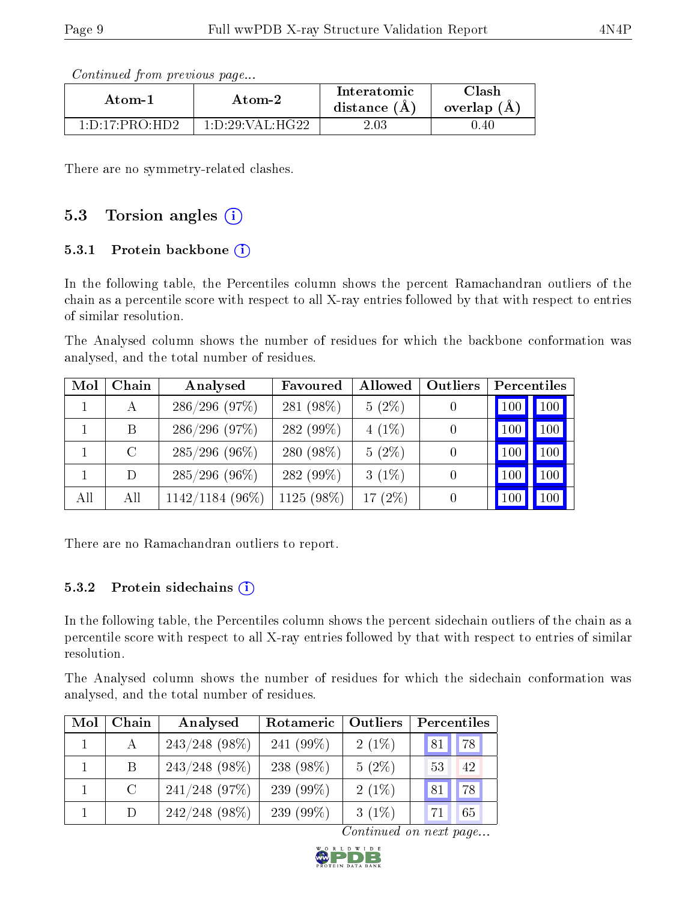Continued from previous page...

| Atom-2                                 |                      | Interatomic    | $\operatorname{Classh}$ |
|----------------------------------------|----------------------|----------------|-------------------------|
| Atom-1                                 |                      | distance $(A)$ | overlap (A              |
| $1 \cdot D \cdot 17 \cdot PR \cap H D$ | 1: D: 29: VAL:H G 22 | $2.03\,$       | .40                     |

There are no symmetry-related clashes.

## 5.3 Torsion angles  $(i)$

### 5.3.1 Protein backbone  $(i)$

In the following table, the Percentiles column shows the percent Ramachandran outliers of the chain as a percentile score with respect to all X-ray entries followed by that with respect to entries of similar resolution.

The Analysed column shows the number of residues for which the backbone conformation was analysed, and the total number of residues.

| Mol | Chain   | Analysed          | Favoured     | Allowed    | Outliers         | Percentiles |                  |
|-----|---------|-------------------|--------------|------------|------------------|-------------|------------------|
|     | А       | 286/296(97%)      | 281 (98%)    | $5(2\%)$   |                  | 100         | 100 <sub>1</sub> |
|     | B       | 286/296(97%)      | 282 (99%)    | $4(1\%)$   | $\left( \right)$ | 100         | 100              |
|     | $\rm C$ | $285/296$ (96%)   | 280 (98%)    | $5(2\%)$   |                  | 100         | 100              |
|     | D       | $285/296$ (96%)   | 282 $(99\%)$ | $3(1\%)$   |                  | 100         | 100              |
| All | All     | $1142/1184(96\%)$ | $1125(98\%)$ | 17 $(2\%)$ |                  | 100         | 100              |

There are no Ramachandran outliers to report.

#### 5.3.2 Protein sidechains (i)

In the following table, the Percentiles column shows the percent sidechain outliers of the chain as a percentile score with respect to all X-ray entries followed by that with respect to entries of similar resolution.

The Analysed column shows the number of residues for which the sidechain conformation was analysed, and the total number of residues.

| Mol | Chain         | Analysed         | Outliers<br>Rotameric |          | Percentiles |    |  |
|-----|---------------|------------------|-----------------------|----------|-------------|----|--|
|     | $\mathbf{A}$  | $243/248$ (98%)  | 241 $(99\%)$          | $2(1\%)$ | 81          | 78 |  |
|     | B             | $243/248$ (98%)  | 238 $(98\%)$          | $5(2\%)$ | 53          | 42 |  |
|     | $\mathcal{C}$ | $241/248$ (97\%) | 239 $(99\%)$          | $2(1\%)$ | 81          | 78 |  |
|     | D             | $242/248$ (98\%) | 239 $(99\%)$          | $3(1\%)$ | 71          | 65 |  |

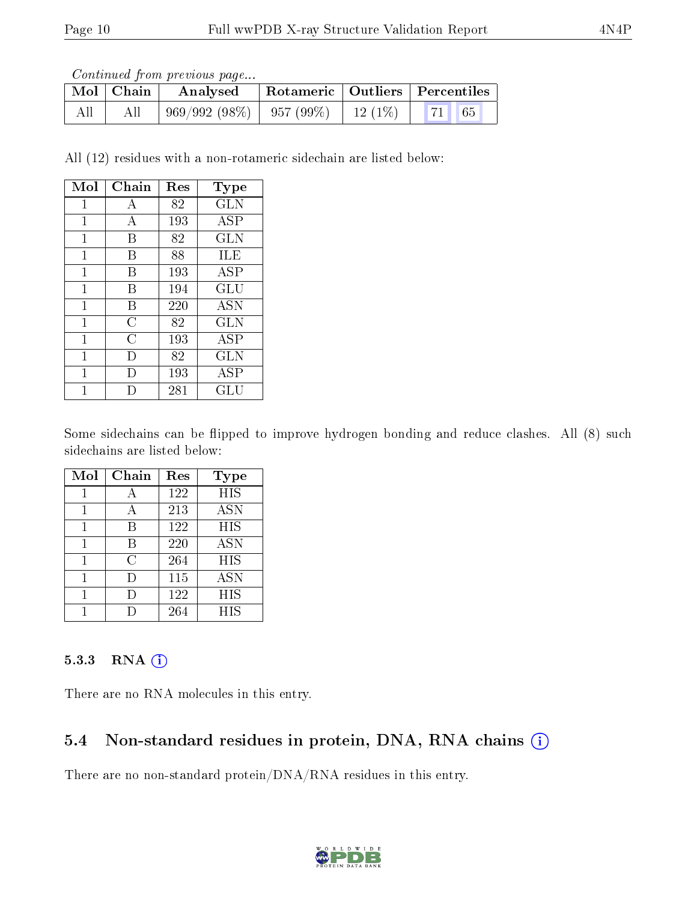Continued from previous page...

| $\mid$ Mol $\mid$ Chain $\mid$ | Analysed                     |        | Rotameric   Outliers   Percentiles |  |
|--------------------------------|------------------------------|--------|------------------------------------|--|
| All                            | $969/992(98\%)$   957 (99\%) | 12(1%) |                                    |  |

All (12) residues with a non-rotameric sidechain are listed below:

| Mol         | Chain | Res | $_{\rm Type}$        |
|-------------|-------|-----|----------------------|
| 1           | А     | 82  | <b>GLN</b>           |
| $\mathbf 1$ | А     | 193 | <b>ASP</b>           |
| 1           | В     | 82  | <b>GLN</b>           |
| 1           | B     | 88  | ILE                  |
| 1           | В     | 193 | ASP                  |
| 1           | В     | 194 | GLU                  |
| 1           | В     | 220 | <b>ASN</b>           |
| 1           | C     | 82  | <b>GLN</b>           |
| $\mathbf 1$ | C     | 193 | ASP                  |
| 1           | I)    | 82  | GLN                  |
| 1           | I)    | 193 | ASP                  |
|             |       | 281 | $\operatorname{GLU}$ |

Some sidechains can be flipped to improve hydrogen bonding and reduce clashes. All (8) such sidechains are listed below:

| Mol | Chain | Res | Type       |
|-----|-------|-----|------------|
|     | A     | 122 | <b>HIS</b> |
| 1   | А     | 213 | <b>ASN</b> |
|     | В     | 122 | <b>HIS</b> |
| 1   | В     | 220 | <b>ASN</b> |
|     | C     | 264 | <b>HIS</b> |
|     | Ð     | 115 | <b>ASN</b> |
|     |       | 122 | <b>HIS</b> |
|     |       | 264 | <b>HIS</b> |

#### 5.3.3 RNA (i)

There are no RNA molecules in this entry.

### 5.4 Non-standard residues in protein, DNA, RNA chains  $(i)$

There are no non-standard protein/DNA/RNA residues in this entry.

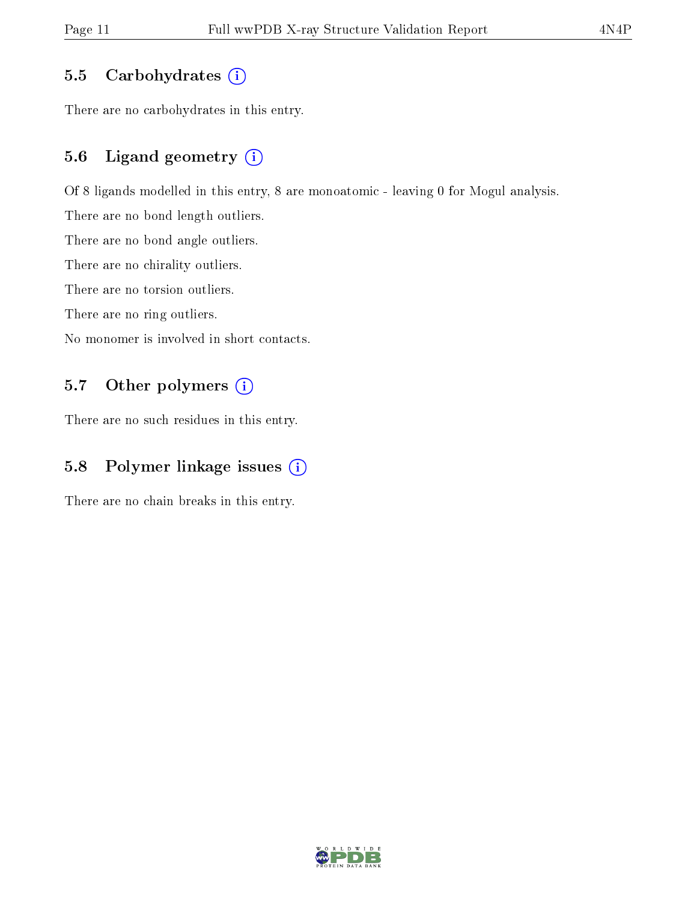### 5.5 Carbohydrates  $(i)$

There are no carbohydrates in this entry.

### 5.6 Ligand geometry (i)

Of 8 ligands modelled in this entry, 8 are monoatomic - leaving 0 for Mogul analysis.

There are no bond length outliers.

There are no bond angle outliers.

There are no chirality outliers.

There are no torsion outliers.

There are no ring outliers.

No monomer is involved in short contacts.

### 5.7 [O](https://www.wwpdb.org/validation/2017/XrayValidationReportHelp#nonstandard_residues_and_ligands)ther polymers (i)

There are no such residues in this entry.

### 5.8 Polymer linkage issues (i)

There are no chain breaks in this entry.

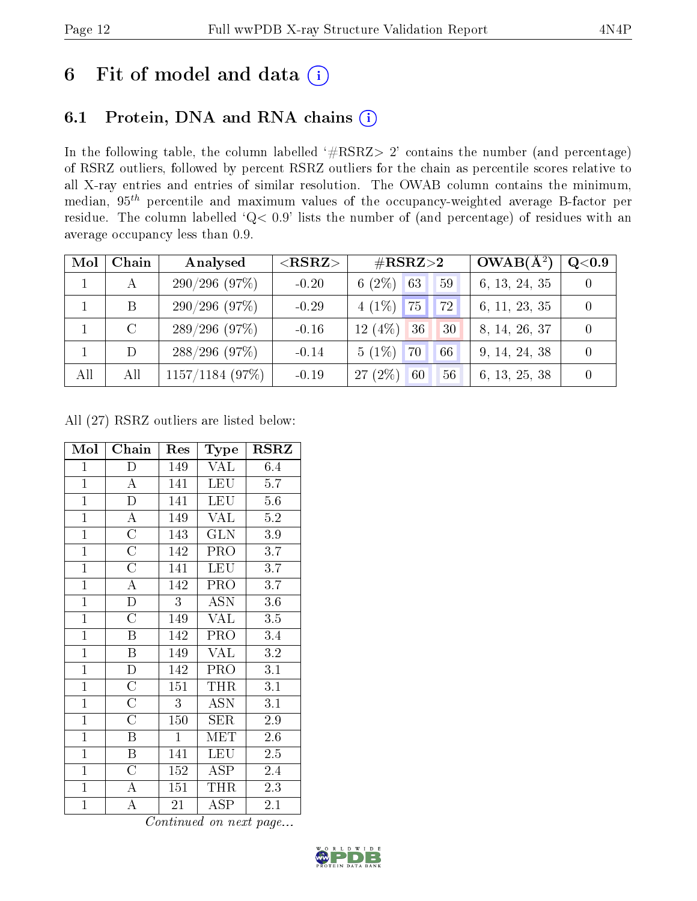# 6 Fit of model and data  $(i)$

## 6.1 Protein, DNA and RNA chains  $(i)$

In the following table, the column labelled  $#RSRZ> 2'$  contains the number (and percentage) of RSRZ outliers, followed by percent RSRZ outliers for the chain as percentile scores relative to all X-ray entries and entries of similar resolution. The OWAB column contains the minimum, median,  $95<sup>th</sup>$  percentile and maximum values of the occupancy-weighted average B-factor per residue. The column labelled ' $Q< 0.9$ ' lists the number of (and percentage) of residues with an average occupancy less than 0.9.

| Mol          | Chain   | Analysed          | $<$ RSRZ $>$ | $\#\text{RSRZ}\text{>2}$               | $OWAB(A^2)$   | $\rm Q\textcolor{black}{<}0.9$ |
|--------------|---------|-------------------|--------------|----------------------------------------|---------------|--------------------------------|
| $\mathbf{1}$ |         | 290/296(97%)      | $-0.20$      | 6 $(2\%)$<br>63<br>59                  | 6, 13, 24, 35 | $\left( \right)$               |
|              | B       | 290/296(97%)      | $-0.29$      | $4(1\%)$ 75<br> 72                     | 6, 11, 23, 35 | $\overline{0}$                 |
|              | $\rm C$ | 289/296(97%)      | $-0.16$      | $12(4\%)$<br>36<br>30                  | 8, 14, 26, 37 | $\theta$                       |
|              | D       | $288/296$ (97%)   | $-0.14$      | $5(1\%)$<br>70<br>66                   | 9, 14, 24, 38 | $\Omega$                       |
| All          | All     | $1157/1184$ (97%) | $-0.19$      | $(2\%)$<br>27 <sub>1</sub><br>60<br>56 | 6, 13, 25, 38 | $\overline{0}$                 |

All (27) RSRZ outliers are listed below:

| Mol            | Chain                   | Res          | Type                 | <b>RSRZ</b> |
|----------------|-------------------------|--------------|----------------------|-------------|
| $\mathbf{1}$   | $\mathbf D$             | 149          | VAL                  | $6.4\,$     |
| $\overline{1}$ | $\bf{A}$                | 141          | <b>LEU</b>           | 5.7         |
| $\mathbf{1}$   | $\mathbf{D}$            | 141          | <b>LEU</b>           | 5.6         |
| $\mathbf{1}$   | $\bf{A}$                | 149          | <b>VAL</b>           | 5.2         |
| $\overline{1}$ | $\overline{\rm C}$      | 143          | <b>GLN</b>           | $3.9\,$     |
| $\overline{1}$ | $\overline{\rm C}$      | 142          | PRO                  | 3.7         |
| $\mathbf{1}$   | $\overline{C}$          | 141          | <b>LEU</b>           | 3.7         |
| $\overline{1}$ | $\overline{\rm A}$      | 142          | PRO                  | 3.7         |
| $\overline{1}$ | $\overline{\rm D}$      | 3            | ASN                  | $3.6\,$     |
| $\mathbf{1}$   | $\overline{\rm C}$      | 149          | <b>VAL</b>           | 3.5         |
| $\mathbf{1}$   | B                       | 142          | PRO                  | 3.4         |
| $\overline{1}$ | $\overline{\mathrm{B}}$ | 149          | VAL                  | 3.2         |
| $\mathbf{1}$   | D                       | 142          | PRO                  | 3.1         |
| $\mathbf{1}$   | $\overline{C}$          | 151          | THR                  | 3.1         |
| $\overline{1}$ | $\overline{\rm C}$      | 3            | ASN                  | 3.1         |
| $\overline{1}$ | $\overline{\rm C}$      | 150          | SER                  | 2.9         |
| $\overline{1}$ | $\overline{B}$          | $\mathbf{1}$ | MET                  | $2.6\,$     |
| $\mathbf{1}$   | B                       | 141          | LEU                  | 2.5         |
| $\overline{1}$ | $\overline{C}$          | 152          | $\operatorname{ASP}$ | 2.4         |
| $\overline{1}$ | $\bf{A}$                | 151          | THR                  | 2.3         |
| $\mathbf{1}$   | A                       | 21           | ASP                  | 2.1         |